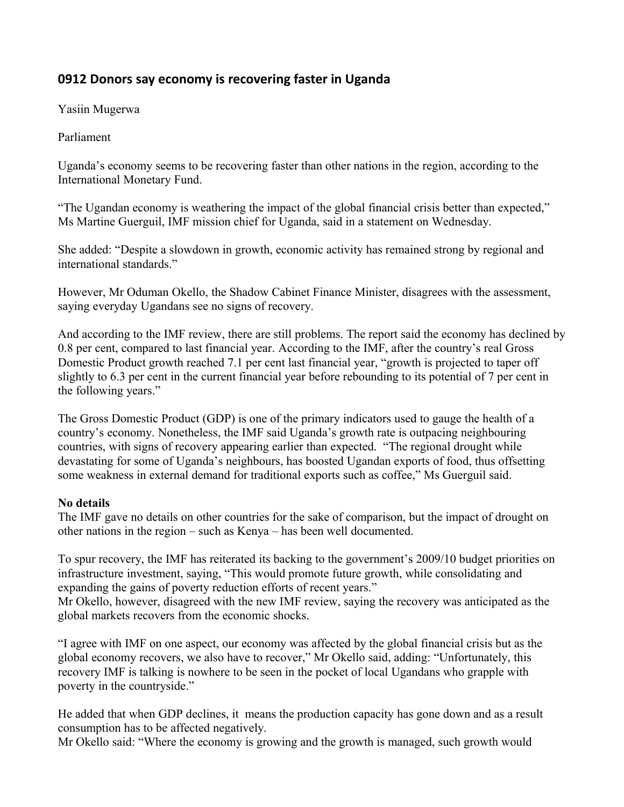## **0912 Donors say economy is recovering faster in Uganda**

Yasiin Mugerwa

Parliament

Uganda's economy seems to be recovering faster than other nations in the region, according to the International Monetary Fund.

"The Ugandan economy is weathering the impact of the global financial crisis better than expected," Ms Martine Guerguil, IMF mission chief for Uganda, said in a statement on Wednesday.

She added: "Despite a slowdown in growth, economic activity has remained strong by regional and international standards."

However, Mr Oduman Okello, the Shadow Cabinet Finance Minister, disagrees with the assessment, saying everyday Ugandans see no signs of recovery.

And according to the IMF review, there are still problems. The report said the economy has declined by 0.8 per cent, compared to last financial year. According to the IMF, after the country's real Gross Domestic Product growth reached 7.1 per cent last financial year, "growth is projected to taper off slightly to 6.3 per cent in the current financial year before rebounding to its potential of 7 per cent in the following years."

The Gross Domestic Product (GDP) is one of the primary indicators used to gauge the health of a country's economy. Nonetheless, the IMF said Uganda's growth rate is outpacing neighbouring countries, with signs of recovery appearing earlier than expected. "The regional drought while devastating for some of Uganda's neighbours, has boosted Ugandan exports of food, thus offsetting some weakness in external demand for traditional exports such as coffee," Ms Guerguil said.

## **No details**

The IMF gave no details on other countries for the sake of comparison, but the impact of drought on other nations in the region – such as Kenya – has been well documented.

To spur recovery, the IMF has reiterated its backing to the government's 2009/10 budget priorities on infrastructure investment, saying, "This would promote future growth, while consolidating and expanding the gains of poverty reduction efforts of recent years."

Mr Okello, however, disagreed with the new IMF review, saying the recovery was anticipated as the global markets recovers from the economic shocks.

"I agree with IMF on one aspect, our economy was affected by the global financial crisis but as the global economy recovers, we also have to recover," Mr Okello said, adding: "Unfortunately, this recovery IMF is talking is nowhere to be seen in the pocket of local Ugandans who grapple with poverty in the countryside."

He added that when GDP declines, it means the production capacity has gone down and as a result consumption has to be affected negatively.

Mr Okello said: "Where the economy is growing and the growth is managed, such growth would